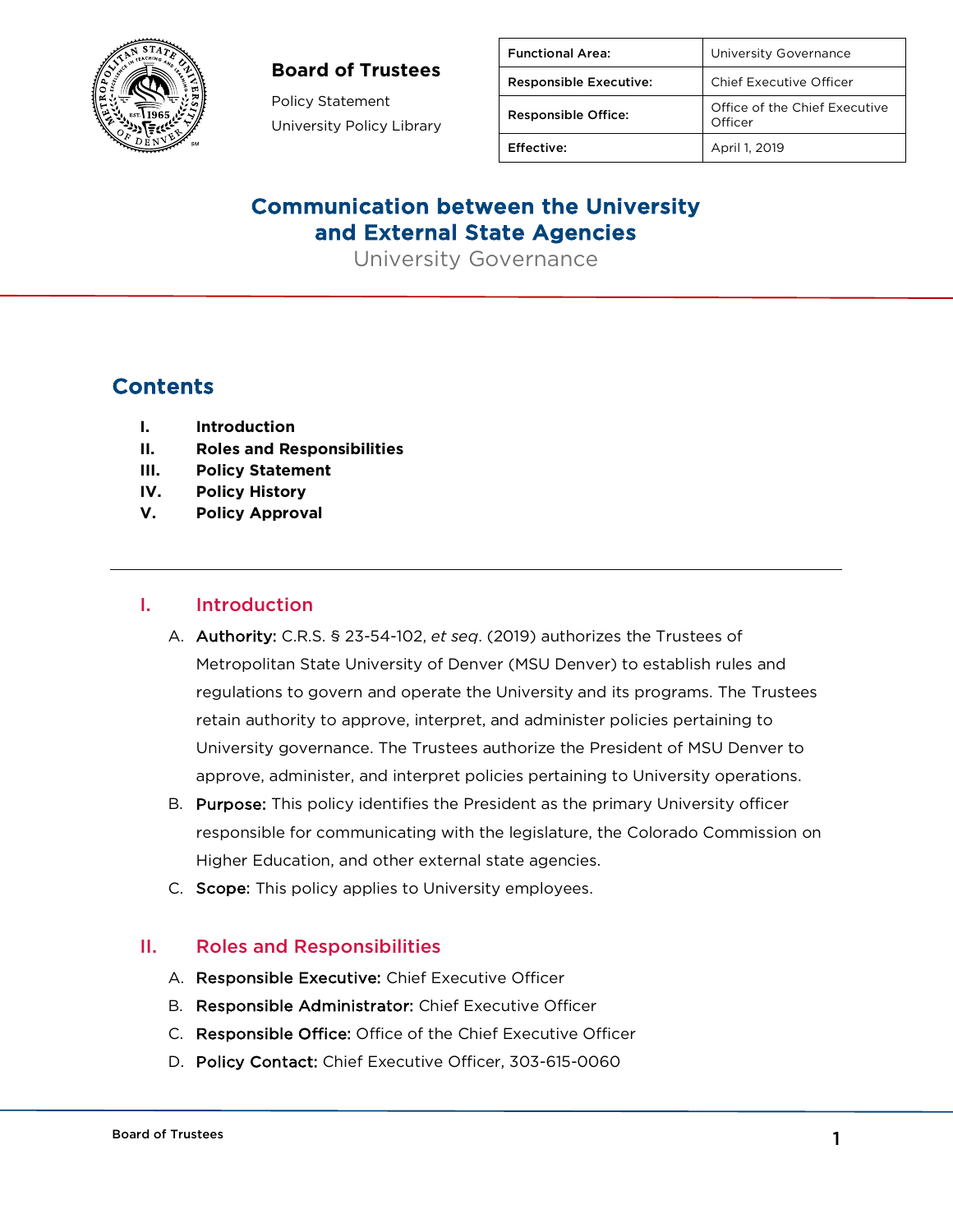

#### **Board of Trustees**

Policy Statement University Policy Library

| <b>Functional Area:</b>       | University Governance                    |
|-------------------------------|------------------------------------------|
| <b>Responsible Executive:</b> | Chief Executive Officer                  |
| <b>Responsible Office:</b>    | Office of the Chief Executive<br>Officer |
| Effective:                    | April 1, 2019                            |

## Communication between the University and External State Agencies

University Governance

# Contents

- **I. Introduction**
- **II. Roles and Responsibilities**
- **III. Policy Statement**
- **IV. Policy History**
- **V. Policy Approval**

#### I. Introduction

- A. Authority: C.R.S. § 23-54-102, *et seq*. (2019) authorizes the Trustees of Metropolitan State University of Denver (MSU Denver) to establish rules and regulations to govern and operate the University and its programs. The Trustees retain authority to approve, interpret, and administer policies pertaining to University governance. The Trustees authorize the President of MSU Denver to approve, administer, and interpret policies pertaining to University operations.
- B. Purpose: This policy identifies the President as the primary University officer responsible for communicating with the legislature, the Colorado Commission on Higher Education, and other external state agencies.
- C. Scope: This policy applies to University employees.

### II. Roles and Responsibilities

- A. Responsible Executive: Chief Executive Officer
- B. Responsible Administrator: Chief Executive Officer
- C. Responsible Office: Office of the Chief Executive Officer
- D. Policy Contact: Chief Executive Officer, 303-615-0060